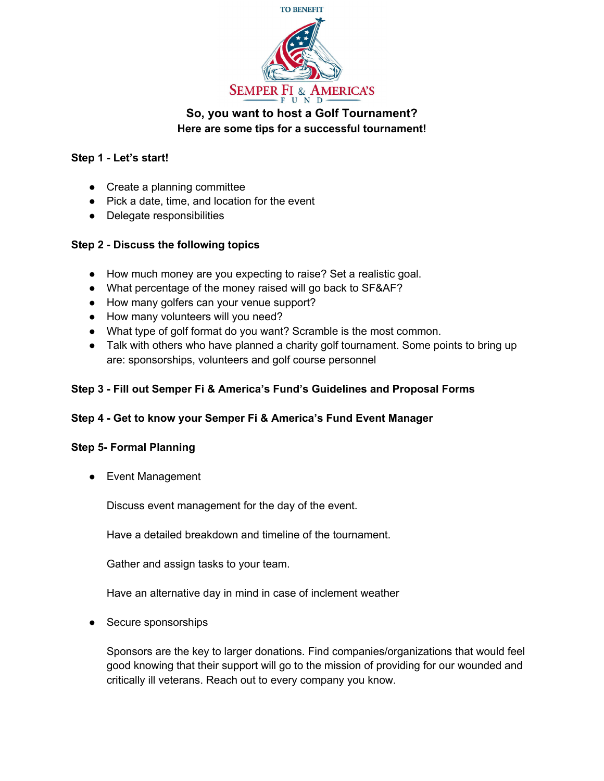

# **So, you want to host a Golf Tournament? Here are some tips for a successful tournament!**

### **Step 1 - Let's start!**

- Create a planning committee
- Pick a date, time, and location for the event
- Delegate responsibilities

### **Step 2 - Discuss the following topics**

- How much money are you expecting to raise? Set a realistic goal.
- What percentage of the money raised will go back to SF&AF?
- How many golfers can your venue support?
- How many volunteers will you need?
- What type of golf format do you want? Scramble is the most common.
- Talk with others who have planned a charity golf tournament. Some points to bring up are: sponsorships, volunteers and golf course personnel

### **Step 3 - Fill out Semper Fi & America's Fund's Guidelines and Proposal Forms**

### **Step 4 - Get to know your Semper Fi & America's Fund Event Manager**

### **Step 5- Formal Planning**

● Event Management

Discuss event management for the day of the event.

Have a detailed breakdown and timeline of the tournament.

Gather and assign tasks to your team.

Have an alternative day in mind in case of inclement weather

● Secure sponsorships

Sponsors are the key to larger donations. Find companies/organizations that would feel good knowing that their support will go to the mission of providing for our wounded and critically ill veterans. Reach out to every company you know.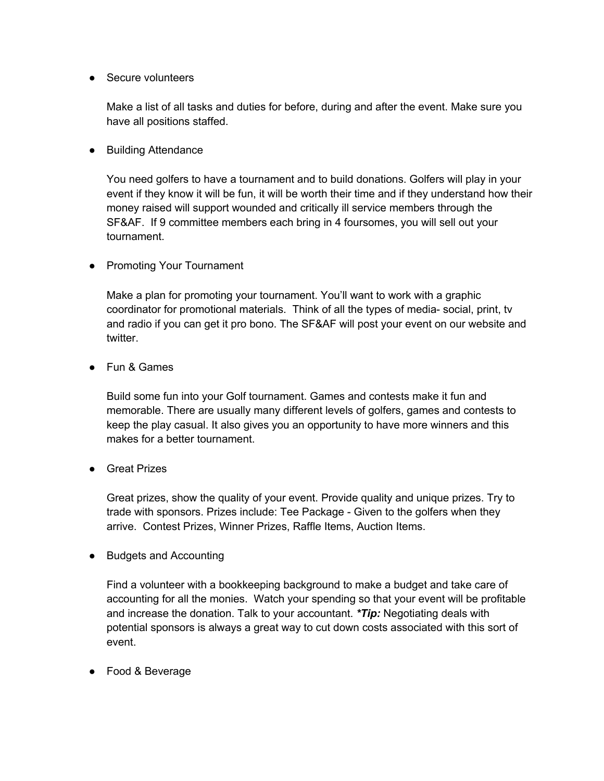● Secure volunteers

Make a list of all tasks and duties for before, during and after the event. Make sure you have all positions staffed.

● Building Attendance

You need golfers to have a tournament and to build donations. Golfers will play in your event if they know it will be fun, it will be worth their time and if they understand how their money raised will support wounded and critically ill service members through the SF&AF. If 9 committee members each bring in 4 foursomes, you will sell out your tournament.

● Promoting Your Tournament

Make a plan for promoting your tournament. You'll want to work with a graphic coordinator for promotional materials. Think of all the types of media- social, print, tv and radio if you can get it pro bono. The SF&AF will post your event on our website and twitter.

● Fun & Games

Build some fun into your Golf tournament. Games and contests make it fun and memorable. There are usually many different levels of golfers, games and contests to keep the play casual. It also gives you an opportunity to have more winners and this makes for a better tournament.

● Great Prizes

Great prizes, show the quality of your event. Provide quality and unique prizes. Try to trade with sponsors. Prizes include: Tee Package - Given to the golfers when they arrive. Contest Prizes, Winner Prizes, Raffle Items, Auction Items.

● Budgets and Accounting

Find a volunteer with a bookkeeping background to make a budget and take care of accounting for all the monies. Watch your spending so that your event will be profitable and increase the donation. Talk to your accountant. *\*Tip:* Negotiating deals with potential sponsors is always a great way to cut down costs associated with this sort of event.

● Food & Beverage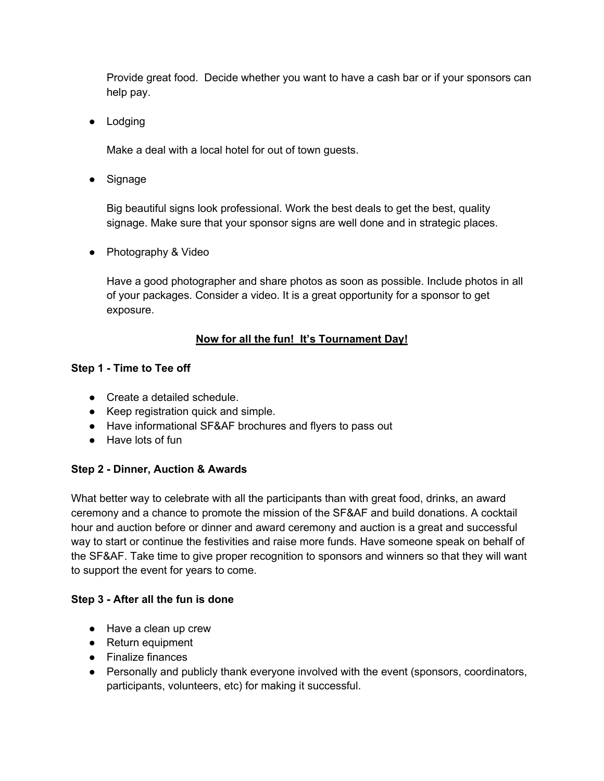Provide great food. Decide whether you want to have a cash bar or if your sponsors can help pay.

● Lodging

Make a deal with a local hotel for out of town guests.

● Signage

Big beautiful signs look professional. Work the best deals to get the best, quality signage. Make sure that your sponsor signs are well done and in strategic places.

● Photography & Video

Have a good photographer and share photos as soon as possible. Include photos in all of your packages. Consider a video. It is a great opportunity for a sponsor to get exposure.

## **Now for all the fun! It's Tournament Day!**

## **Step 1 - Time to Tee off**

- Create a detailed schedule.
- Keep registration quick and simple.
- Have informational SF&AF brochures and flyers to pass out
- Have lots of fun

## **Step 2 - Dinner, Auction & Awards**

What better way to celebrate with all the participants than with great food, drinks, an award ceremony and a chance to promote the mission of the SF&AF and build donations. A cocktail hour and auction before or dinner and award ceremony and auction is a great and successful way to start or continue the festivities and raise more funds. Have someone speak on behalf of the SF&AF. Take time to give proper recognition to sponsors and winners so that they will want to support the event for years to come.

## **Step 3 - After all the fun is done**

- Have a clean up crew
- Return equipment
- Finalize finances
- Personally and publicly thank everyone involved with the event (sponsors, coordinators, participants, volunteers, etc) for making it successful.